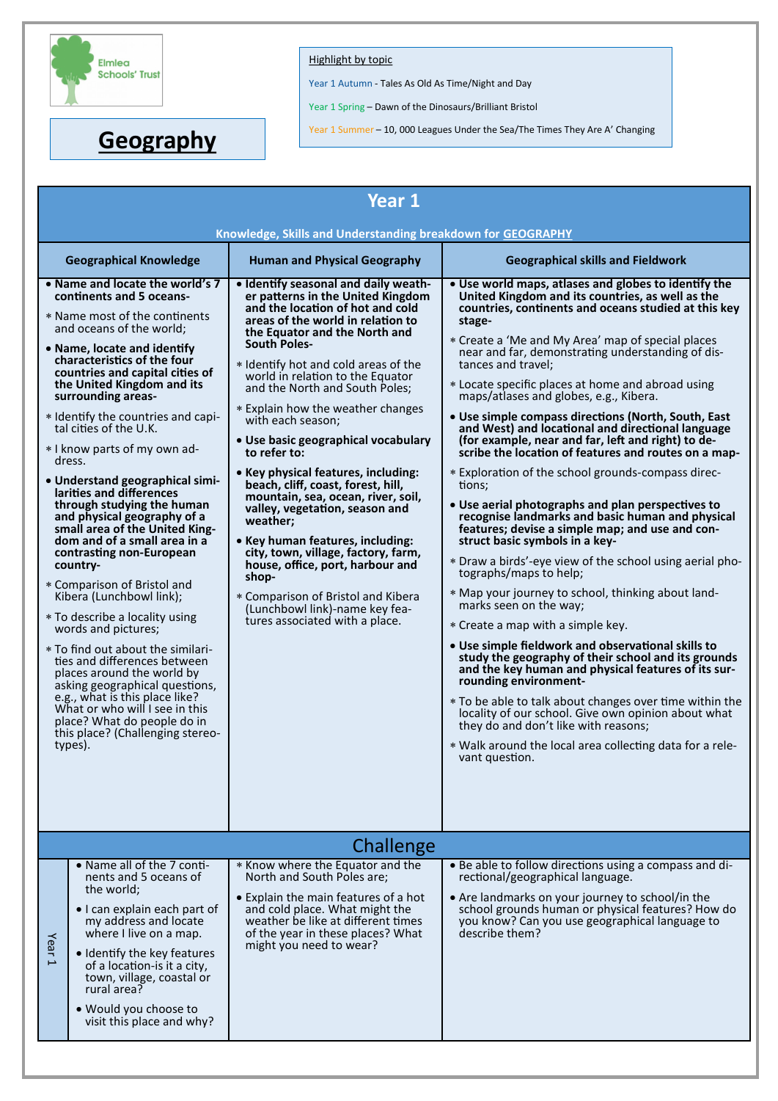

## Highlight by topic

Year 1 Autumn - Tales As Old As Time/Night and Day

Year 1 Spring – Dawn of the Dinosaurs/Brilliant Bristol

**Geography** Year 1 Summer – 10, 000 Leagues Under the Sea/The Times They Are A' Changing

|                                                             | ucugiapiiy                                                                                                                                                                                                                                                                                                                                                                                                                                                                                                                                                                                                                                                                                                                                                                                                                                                                                                                                                                                                                               |                                                                                                                                                                                                                                                                                                                                                                                                                                                                                                                                                                                                                                                                                                                                                                                                                                       |                                                                                                                                                                                                                                                                                                                                                                                                                                                                                                                                                                                                                                                                                                                                                                                                                                                                                                                                                                                                                                                                                                                                                                                                                                                                                                                                                                                                                                                                                                                                                   |  |  |  |  |
|-------------------------------------------------------------|------------------------------------------------------------------------------------------------------------------------------------------------------------------------------------------------------------------------------------------------------------------------------------------------------------------------------------------------------------------------------------------------------------------------------------------------------------------------------------------------------------------------------------------------------------------------------------------------------------------------------------------------------------------------------------------------------------------------------------------------------------------------------------------------------------------------------------------------------------------------------------------------------------------------------------------------------------------------------------------------------------------------------------------|---------------------------------------------------------------------------------------------------------------------------------------------------------------------------------------------------------------------------------------------------------------------------------------------------------------------------------------------------------------------------------------------------------------------------------------------------------------------------------------------------------------------------------------------------------------------------------------------------------------------------------------------------------------------------------------------------------------------------------------------------------------------------------------------------------------------------------------|---------------------------------------------------------------------------------------------------------------------------------------------------------------------------------------------------------------------------------------------------------------------------------------------------------------------------------------------------------------------------------------------------------------------------------------------------------------------------------------------------------------------------------------------------------------------------------------------------------------------------------------------------------------------------------------------------------------------------------------------------------------------------------------------------------------------------------------------------------------------------------------------------------------------------------------------------------------------------------------------------------------------------------------------------------------------------------------------------------------------------------------------------------------------------------------------------------------------------------------------------------------------------------------------------------------------------------------------------------------------------------------------------------------------------------------------------------------------------------------------------------------------------------------------------|--|--|--|--|
|                                                             |                                                                                                                                                                                                                                                                                                                                                                                                                                                                                                                                                                                                                                                                                                                                                                                                                                                                                                                                                                                                                                          |                                                                                                                                                                                                                                                                                                                                                                                                                                                                                                                                                                                                                                                                                                                                                                                                                                       |                                                                                                                                                                                                                                                                                                                                                                                                                                                                                                                                                                                                                                                                                                                                                                                                                                                                                                                                                                                                                                                                                                                                                                                                                                                                                                                                                                                                                                                                                                                                                   |  |  |  |  |
| Year 1                                                      |                                                                                                                                                                                                                                                                                                                                                                                                                                                                                                                                                                                                                                                                                                                                                                                                                                                                                                                                                                                                                                          |                                                                                                                                                                                                                                                                                                                                                                                                                                                                                                                                                                                                                                                                                                                                                                                                                                       |                                                                                                                                                                                                                                                                                                                                                                                                                                                                                                                                                                                                                                                                                                                                                                                                                                                                                                                                                                                                                                                                                                                                                                                                                                                                                                                                                                                                                                                                                                                                                   |  |  |  |  |
| Knowledge, Skills and Understanding breakdown for GEOGRAPHY |                                                                                                                                                                                                                                                                                                                                                                                                                                                                                                                                                                                                                                                                                                                                                                                                                                                                                                                                                                                                                                          |                                                                                                                                                                                                                                                                                                                                                                                                                                                                                                                                                                                                                                                                                                                                                                                                                                       |                                                                                                                                                                                                                                                                                                                                                                                                                                                                                                                                                                                                                                                                                                                                                                                                                                                                                                                                                                                                                                                                                                                                                                                                                                                                                                                                                                                                                                                                                                                                                   |  |  |  |  |
|                                                             |                                                                                                                                                                                                                                                                                                                                                                                                                                                                                                                                                                                                                                                                                                                                                                                                                                                                                                                                                                                                                                          |                                                                                                                                                                                                                                                                                                                                                                                                                                                                                                                                                                                                                                                                                                                                                                                                                                       |                                                                                                                                                                                                                                                                                                                                                                                                                                                                                                                                                                                                                                                                                                                                                                                                                                                                                                                                                                                                                                                                                                                                                                                                                                                                                                                                                                                                                                                                                                                                                   |  |  |  |  |
|                                                             | <b>Geographical Knowledge</b>                                                                                                                                                                                                                                                                                                                                                                                                                                                                                                                                                                                                                                                                                                                                                                                                                                                                                                                                                                                                            | <b>Human and Physical Geography</b>                                                                                                                                                                                                                                                                                                                                                                                                                                                                                                                                                                                                                                                                                                                                                                                                   | <b>Geographical skills and Fieldwork</b>                                                                                                                                                                                                                                                                                                                                                                                                                                                                                                                                                                                                                                                                                                                                                                                                                                                                                                                                                                                                                                                                                                                                                                                                                                                                                                                                                                                                                                                                                                          |  |  |  |  |
|                                                             | • Name and locate the world's 7<br>continents and 5 oceans-<br>* Name most of the continents<br>and oceans of the world;<br>• Name, locate and identify<br>characteristics of the four<br>countries and capital cities of<br>the United Kingdom and its<br>surrounding areas-<br>* Identify the countries and capi-<br>tal cities of the U.K.<br>* I know parts of my own ad-<br>dress.<br>· Understand geographical simi-<br>larities and differences<br>through studying the human<br>and physical geography of a<br>small area of the United King-<br>dom and of a small area in a<br>contrasting non-European<br>country-<br>* Comparison of Bristol and<br>Kibera (Lunchbowl link);<br>* To describe a locality using<br>words and pictures;<br>* To find out about the similari-<br>ties and differences between<br>places around the world by<br>asking geographical questions,<br>e.g., what is this place like?<br>What or who will I see in this<br>place? What do people do in<br>this place? (Challenging stereo-<br>types). | . Identify seasonal and daily weath-<br>er patterns in the United Kingdom<br>and the location of hot and cold<br>areas of the world in relation to<br>the Equator and the North and<br>South Poles-<br>* Identify hot and cold areas of the<br>world in relation to the Equator<br>and the North and South Poles;<br>* Explain how the weather changes<br>with each season;<br>· Use basic geographical vocabulary<br>to refer to:<br>• Key physical features, including:<br>beach, cliff, coast, forest, hill,<br>mountain, sea, ocean, river, soil,<br>valley, vegetation, season and<br>weather;<br>• Key human features, including:<br>city, town, village, factory, farm,<br>house, office, port, harbour and<br>shop-<br>* Comparison of Bristol and Kibera<br>(Lunchbowl link)-name key fea-<br>tures associated with a place. | • Use world maps, atlases and globes to identify the<br>United Kingdom and its countries, as well as the<br>countries, continents and oceans studied at this key<br>stage-<br>* Create a 'Me and My Area' map of special places<br>near and far, demonstrating understanding of dis-<br>tances and travel;<br>* Locate specific places at home and abroad using<br>maps/atlases and globes, e.g., Kibera.<br>• Use simple compass directions (North, South, East<br>and West) and locational and directional language<br>(for example, near and far, left and right) to de-<br>scribe the location of features and routes on a map-<br>* Exploration of the school grounds-compass direc-<br>tions;<br>• Use aerial photographs and plan perspectives to<br>recognise landmarks and basic human and physical<br>features; devise a simple map; and use and con-<br>struct basic symbols in a key-<br>* Draw a birds'-eye view of the school using aerial pho-<br>tographs/maps to help;<br>* Map your journey to school, thinking about land-<br>marks seen on the way;<br>* Create a map with a simple key.<br>• Use simple fieldwork and observational skills to<br>study the geography of their school and its grounds<br>and the key human and physical features of its sur-<br>rounding environment-<br>* To be able to talk about changes over time within the<br>locality of our school. Give own opinion about what<br>they do and don't like with reasons;<br>* Walk around the local area collecting data for a rele-<br>vant question. |  |  |  |  |
| Challenge                                                   |                                                                                                                                                                                                                                                                                                                                                                                                                                                                                                                                                                                                                                                                                                                                                                                                                                                                                                                                                                                                                                          |                                                                                                                                                                                                                                                                                                                                                                                                                                                                                                                                                                                                                                                                                                                                                                                                                                       |                                                                                                                                                                                                                                                                                                                                                                                                                                                                                                                                                                                                                                                                                                                                                                                                                                                                                                                                                                                                                                                                                                                                                                                                                                                                                                                                                                                                                                                                                                                                                   |  |  |  |  |
|                                                             | • Name all of the 7 conti-                                                                                                                                                                                                                                                                                                                                                                                                                                                                                                                                                                                                                                                                                                                                                                                                                                                                                                                                                                                                               | * Know where the Equator and the                                                                                                                                                                                                                                                                                                                                                                                                                                                                                                                                                                                                                                                                                                                                                                                                      | • Be able to follow directions using a compass and di-                                                                                                                                                                                                                                                                                                                                                                                                                                                                                                                                                                                                                                                                                                                                                                                                                                                                                                                                                                                                                                                                                                                                                                                                                                                                                                                                                                                                                                                                                            |  |  |  |  |
| Year <sub>1</sub>                                           | nents and 5 oceans of<br>the world;<br>• I can explain each part of<br>my address and locate<br>where I live on a map.<br>• Identify the key features<br>of a location-is it a city,<br>town, village, coastal or<br>rural area?<br>. Would you choose to<br>visit this place and why?                                                                                                                                                                                                                                                                                                                                                                                                                                                                                                                                                                                                                                                                                                                                                   | North and South Poles are;<br>• Explain the main features of a hot<br>and cold place. What might the<br>weather be like at different times<br>of the year in these places? What<br>might you need to wear?                                                                                                                                                                                                                                                                                                                                                                                                                                                                                                                                                                                                                            | rectional/geographical language.<br>• Are landmarks on your journey to school/in the<br>school grounds human or physical features? How do<br>you know? Can you use geographical language to<br>describe them?                                                                                                                                                                                                                                                                                                                                                                                                                                                                                                                                                                                                                                                                                                                                                                                                                                                                                                                                                                                                                                                                                                                                                                                                                                                                                                                                     |  |  |  |  |
|                                                             |                                                                                                                                                                                                                                                                                                                                                                                                                                                                                                                                                                                                                                                                                                                                                                                                                                                                                                                                                                                                                                          |                                                                                                                                                                                                                                                                                                                                                                                                                                                                                                                                                                                                                                                                                                                                                                                                                                       |                                                                                                                                                                                                                                                                                                                                                                                                                                                                                                                                                                                                                                                                                                                                                                                                                                                                                                                                                                                                                                                                                                                                                                                                                                                                                                                                                                                                                                                                                                                                                   |  |  |  |  |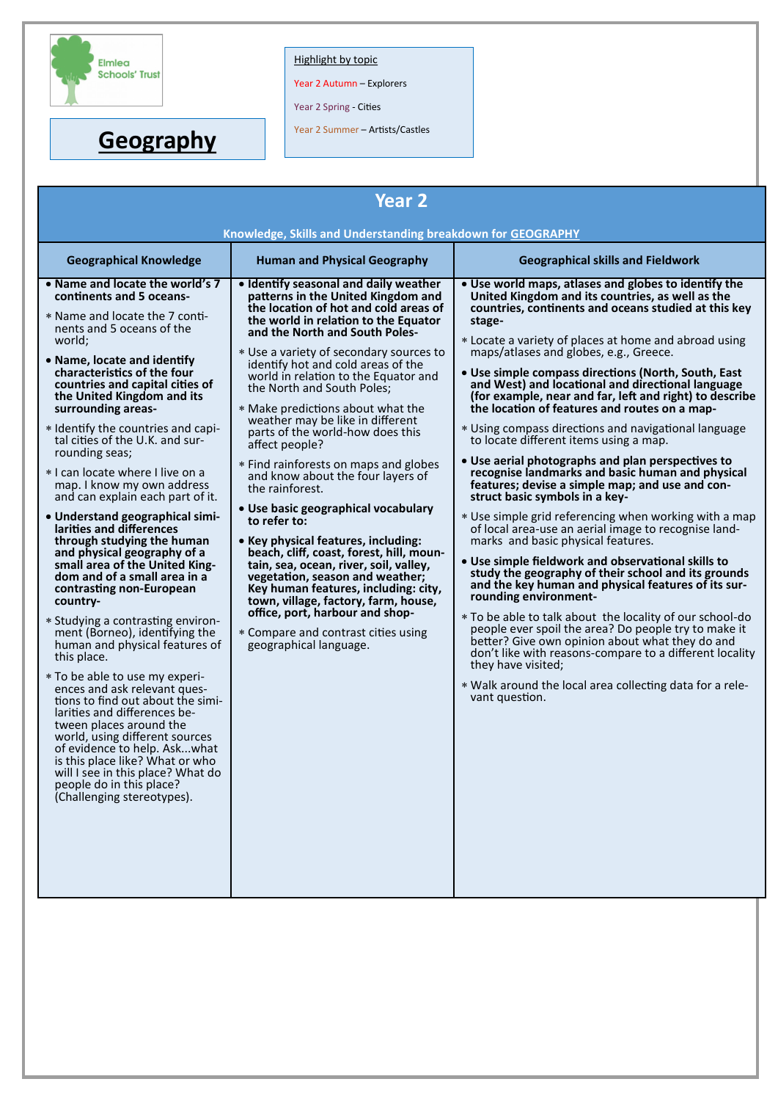

**Geography**

## Highlight by topic

Year 2 Autumn – Explorers

Year 2 Spring - Cities

Year 2 Summer – Artists/Castles

| <b>Year 2</b>                                                                                                                                                                                                                                                                                                                                                                                                                                                                                                                                                                                                                                                                                                                                                                                                                                                                                                                                                                                                                                                                                                                                                                                                                                                                                                                                                                                                                                                                                                                                                                                                                                                                                                                                                                                                                                                                                                                                                                                                                                                                                                                                                                                                                      |                                                                                                                                                                                                                                                                                                                                                                                                                                                                                                                                                                                                                                                                                                                                                                                                                                                                                                                                                                                                                                                                                                                                                                                                                                                                                                                                                                                                                                                                                                 |  |  |  |  |  |
|------------------------------------------------------------------------------------------------------------------------------------------------------------------------------------------------------------------------------------------------------------------------------------------------------------------------------------------------------------------------------------------------------------------------------------------------------------------------------------------------------------------------------------------------------------------------------------------------------------------------------------------------------------------------------------------------------------------------------------------------------------------------------------------------------------------------------------------------------------------------------------------------------------------------------------------------------------------------------------------------------------------------------------------------------------------------------------------------------------------------------------------------------------------------------------------------------------------------------------------------------------------------------------------------------------------------------------------------------------------------------------------------------------------------------------------------------------------------------------------------------------------------------------------------------------------------------------------------------------------------------------------------------------------------------------------------------------------------------------------------------------------------------------------------------------------------------------------------------------------------------------------------------------------------------------------------------------------------------------------------------------------------------------------------------------------------------------------------------------------------------------------------------------------------------------------------------------------------------------|-------------------------------------------------------------------------------------------------------------------------------------------------------------------------------------------------------------------------------------------------------------------------------------------------------------------------------------------------------------------------------------------------------------------------------------------------------------------------------------------------------------------------------------------------------------------------------------------------------------------------------------------------------------------------------------------------------------------------------------------------------------------------------------------------------------------------------------------------------------------------------------------------------------------------------------------------------------------------------------------------------------------------------------------------------------------------------------------------------------------------------------------------------------------------------------------------------------------------------------------------------------------------------------------------------------------------------------------------------------------------------------------------------------------------------------------------------------------------------------------------|--|--|--|--|--|
| Knowledge, Skills and Understanding breakdown for GEOGRAPHY                                                                                                                                                                                                                                                                                                                                                                                                                                                                                                                                                                                                                                                                                                                                                                                                                                                                                                                                                                                                                                                                                                                                                                                                                                                                                                                                                                                                                                                                                                                                                                                                                                                                                                                                                                                                                                                                                                                                                                                                                                                                                                                                                                        |                                                                                                                                                                                                                                                                                                                                                                                                                                                                                                                                                                                                                                                                                                                                                                                                                                                                                                                                                                                                                                                                                                                                                                                                                                                                                                                                                                                                                                                                                                 |  |  |  |  |  |
| <b>Geographical Knowledge</b><br><b>Human and Physical Geography</b>                                                                                                                                                                                                                                                                                                                                                                                                                                                                                                                                                                                                                                                                                                                                                                                                                                                                                                                                                                                                                                                                                                                                                                                                                                                                                                                                                                                                                                                                                                                                                                                                                                                                                                                                                                                                                                                                                                                                                                                                                                                                                                                                                               | <b>Geographical skills and Fieldwork</b>                                                                                                                                                                                                                                                                                                                                                                                                                                                                                                                                                                                                                                                                                                                                                                                                                                                                                                                                                                                                                                                                                                                                                                                                                                                                                                                                                                                                                                                        |  |  |  |  |  |
| • Name and locate the world's 7<br>. Identify seasonal and daily weather<br>continents and 5 oceans-<br>patterns in the United Kingdom and<br>the location of hot and cold areas of<br>* Name and locate the 7 conti-<br>the world in relation to the Equator<br>nents and 5 oceans of the<br>and the North and South Poles-<br>world;<br>* Use a variety of secondary sources to<br>• Name, locate and identify<br>identify hot and cold areas of the<br>characteristics of the four<br>world in relation to the Equator and<br>countries and capital cities of<br>the North and South Poles;<br>the United Kingdom and its<br>surrounding areas-<br>* Make predictions about what the<br>weather may be like in different<br>* Identify the countries and capi-<br>parts of the world-how does this<br>tal cities of the U.K. and sur-<br>affect people?<br>rounding seas;<br>* Find rainforests on maps and globes<br>* I can locate where I live on a<br>and know about the four layers of<br>map. I know my own address<br>the rainforest.<br>and can explain each part of it.<br>· Use basic geographical vocabulary<br>• Understand geographical simi-<br>to refer to:<br>larities and differences<br>through studying the human<br>• Key physical features, including:<br>and physical geography of a<br>beach, cliff, coast, forest, hill, moun-<br>small area of the United King-<br>tain, sea, ocean, river, soil, valley,<br>dom and of a small area in a<br>vegetation, season and weather;<br>Key human features, including: city,<br>contrasting non-European<br>country-<br>town, village, factory, farm, house,<br>office, port, harbour and shop-<br>* Studying a contrasting environ-<br>* Compare and contrast cities using<br>ment (Borneo), identifying the<br>human and physical features of<br>geographical language.<br>this place.<br>* To be able to use my experi-<br>ences and ask relevant ques-<br>tions to find out about the simi-<br>larities and differences be-<br>tween places around the<br>world, using different sources<br>of evidence to help. Askwhat<br>is this place like? What or who<br>will I see in this place? What do<br>people do in this place?<br>(Challenging stereotypes). | . Use world maps, atlases and globes to identify the<br>United Kingdom and its countries, as well as the<br>countries, continents and oceans studied at this key<br>stage-<br>* Locate a variety of places at home and abroad using<br>maps/atlases and globes, e.g., Greece.<br>• Use simple compass directions (North, South, East<br>and West) and locational and directional language<br>(for example, near and far, left and right) to describe<br>the location of features and routes on a map-<br>* Using compass directions and navigational language<br>to locate different items using a map.<br>• Use aerial photographs and plan perspectives to<br>recognise landmarks and basic human and physical<br>features; devise a simple map; and use and con-<br>struct basic symbols in a key-<br>* Use simple grid referencing when working with a map<br>of local area-use an aerial image to recognise land-<br>marks and basic physical features.<br>. Use simple fieldwork and observational skills to<br>study the geography of their school and its grounds<br>and the key human and physical features of its sur-<br>rounding environment-<br>* To be able to talk about the locality of our school-do<br>people ever spoil the area? Do people try to make it<br>better? Give own opinion about what they do and<br>don't like with reasons-compare to a different locality<br>they have visited;<br>* Walk around the local area collecting data for a rele-<br>vant question. |  |  |  |  |  |